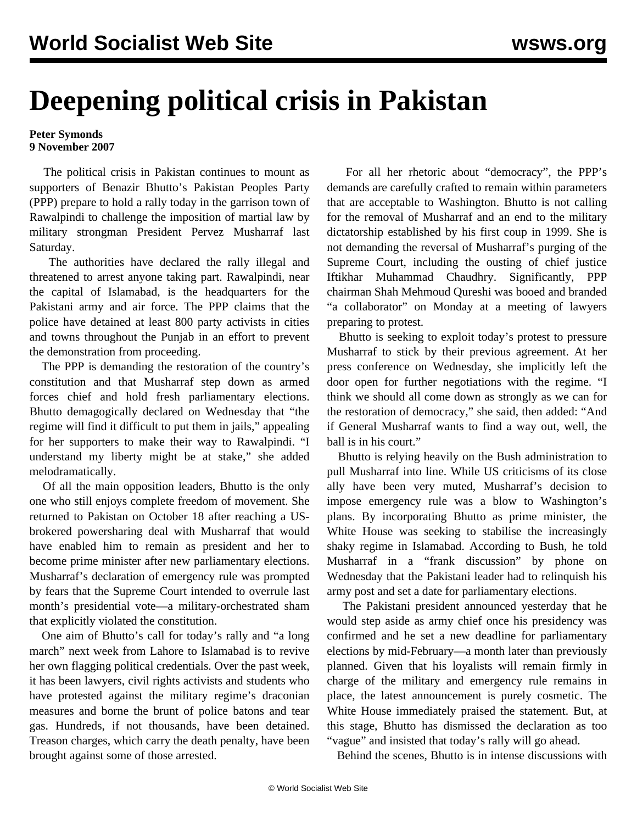## **Deepening political crisis in Pakistan**

## **Peter Symonds 9 November 2007**

 The political crisis in Pakistan continues to mount as supporters of Benazir Bhutto's Pakistan Peoples Party (PPP) prepare to hold a rally today in the garrison town of Rawalpindi to challenge the imposition of martial law by military strongman President Pervez Musharraf last Saturday.

 The authorities have declared the rally illegal and threatened to arrest anyone taking part. Rawalpindi, near the capital of Islamabad, is the headquarters for the Pakistani army and air force. The PPP claims that the police have detained at least 800 party activists in cities and towns throughout the Punjab in an effort to prevent the demonstration from proceeding.

 The PPP is demanding the restoration of the country's constitution and that Musharraf step down as armed forces chief and hold fresh parliamentary elections. Bhutto demagogically declared on Wednesday that "the regime will find it difficult to put them in jails," appealing for her supporters to make their way to Rawalpindi. "I understand my liberty might be at stake," she added melodramatically.

 Of all the main opposition leaders, Bhutto is the only one who still enjoys complete freedom of movement. She returned to Pakistan on October 18 after reaching a USbrokered powersharing deal with Musharraf that would have enabled him to remain as president and her to become prime minister after new parliamentary elections. Musharraf's declaration of emergency rule was prompted by fears that the Supreme Court intended to overrule last month's presidential vote—a military-orchestrated sham that explicitly violated the constitution.

 One aim of Bhutto's call for today's rally and "a long march" next week from Lahore to Islamabad is to revive her own flagging political credentials. Over the past week, it has been lawyers, civil rights activists and students who have protested against the military regime's draconian measures and borne the brunt of police batons and tear gas. Hundreds, if not thousands, have been detained. Treason charges, which carry the death penalty, have been brought against some of those arrested.

 For all her rhetoric about "democracy", the PPP's demands are carefully crafted to remain within parameters that are acceptable to Washington. Bhutto is not calling for the removal of Musharraf and an end to the military dictatorship established by his first coup in 1999. She is not demanding the reversal of Musharraf's purging of the Supreme Court, including the ousting of chief justice Iftikhar Muhammad Chaudhry. Significantly, PPP chairman Shah Mehmoud Qureshi was booed and branded "a collaborator" on Monday at a meeting of lawyers preparing to protest.

 Bhutto is seeking to exploit today's protest to pressure Musharraf to stick by their previous agreement. At her press conference on Wednesday, she implicitly left the door open for further negotiations with the regime. "I think we should all come down as strongly as we can for the restoration of democracy," she said, then added: "And if General Musharraf wants to find a way out, well, the ball is in his court."

 Bhutto is relying heavily on the Bush administration to pull Musharraf into line. While US criticisms of its close ally have been very muted, Musharraf's decision to impose emergency rule was a blow to Washington's plans. By incorporating Bhutto as prime minister, the White House was seeking to stabilise the increasingly shaky regime in Islamabad. According to Bush, he told Musharraf in a "frank discussion" by phone on Wednesday that the Pakistani leader had to relinquish his army post and set a date for parliamentary elections.

 The Pakistani president announced yesterday that he would step aside as army chief once his presidency was confirmed and he set a new deadline for parliamentary elections by mid-February—a month later than previously planned. Given that his loyalists will remain firmly in charge of the military and emergency rule remains in place, the latest announcement is purely cosmetic. The White House immediately praised the statement. But, at this stage, Bhutto has dismissed the declaration as too "vague" and insisted that today's rally will go ahead.

Behind the scenes, Bhutto is in intense discussions with